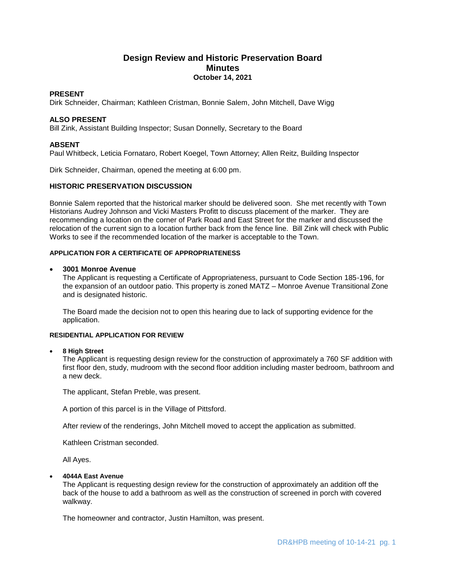# **Design Review and Historic Preservation Board Minutes October 14, 2021**

## **PRESENT**

Dirk Schneider, Chairman; Kathleen Cristman, Bonnie Salem, John Mitchell, Dave Wigg

# **ALSO PRESENT**

Bill Zink, Assistant Building Inspector; Susan Donnelly, Secretary to the Board

# **ABSENT**

Paul Whitbeck, Leticia Fornataro, Robert Koegel, Town Attorney; Allen Reitz, Building Inspector

Dirk Schneider, Chairman, opened the meeting at 6:00 pm.

# **HISTORIC PRESERVATION DISCUSSION**

Bonnie Salem reported that the historical marker should be delivered soon. She met recently with Town Historians Audrey Johnson and Vicki Masters Profitt to discuss placement of the marker. They are recommending a location on the corner of Park Road and East Street for the marker and discussed the relocation of the current sign to a location further back from the fence line. Bill Zink will check with Public Works to see if the recommended location of the marker is acceptable to the Town.

### **APPLICATION FOR A CERTIFICATE OF APPROPRIATENESS**

### **3001 Monroe Avenue**

The Applicant is requesting a Certificate of Appropriateness, pursuant to Code Section 185-196, for the expansion of an outdoor patio. This property is zoned MATZ – Monroe Avenue Transitional Zone and is designated historic.

The Board made the decision not to open this hearing due to lack of supporting evidence for the application.

### **RESIDENTIAL APPLICATION FOR REVIEW**

### **8 High Street**

The Applicant is requesting design review for the construction of approximately a 760 SF addition with first floor den, study, mudroom with the second floor addition including master bedroom, bathroom and a new deck.

The applicant, Stefan Preble, was present.

A portion of this parcel is in the Village of Pittsford.

After review of the renderings, John Mitchell moved to accept the application as submitted.

Kathleen Cristman seconded.

All Ayes.

### **4044A East Avenue**

The Applicant is requesting design review for the construction of approximately an addition off the back of the house to add a bathroom as well as the construction of screened in porch with covered walkway.

The homeowner and contractor, Justin Hamilton, was present.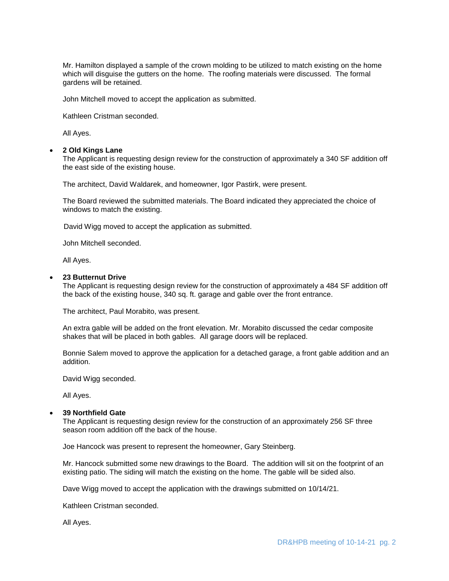Mr. Hamilton displayed a sample of the crown molding to be utilized to match existing on the home which will disguise the gutters on the home. The roofing materials were discussed. The formal gardens will be retained.

John Mitchell moved to accept the application as submitted.

Kathleen Cristman seconded.

All Ayes.

#### **2 Old Kings Lane**

The Applicant is requesting design review for the construction of approximately a 340 SF addition off the east side of the existing house.

The architect, David Waldarek, and homeowner, Igor Pastirk, were present.

The Board reviewed the submitted materials. The Board indicated they appreciated the choice of windows to match the existing.

David Wigg moved to accept the application as submitted.

John Mitchell seconded.

All Ayes.

#### **23 Butternut Drive**

The Applicant is requesting design review for the construction of approximately a 484 SF addition off the back of the existing house, 340 sq. ft. garage and gable over the front entrance.

The architect, Paul Morabito, was present.

An extra gable will be added on the front elevation. Mr. Morabito discussed the cedar composite shakes that will be placed in both gables. All garage doors will be replaced.

Bonnie Salem moved to approve the application for a detached garage, a front gable addition and an addition.

David Wigg seconded.

All Ayes.

# **39 Northfield Gate**

The Applicant is requesting design review for the construction of an approximately 256 SF three season room addition off the back of the house.

Joe Hancock was present to represent the homeowner, Gary Steinberg.

Mr. Hancock submitted some new drawings to the Board. The addition will sit on the footprint of an existing patio. The siding will match the existing on the home. The gable will be sided also.

Dave Wigg moved to accept the application with the drawings submitted on 10/14/21.

Kathleen Cristman seconded.

All Ayes.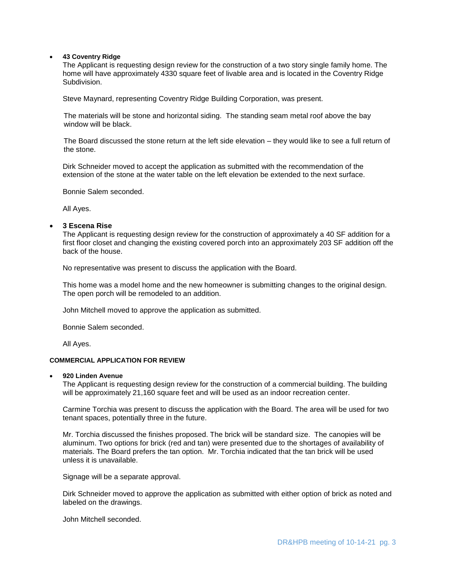#### **43 Coventry Ridge**

The Applicant is requesting design review for the construction of a two story single family home. The home will have approximately 4330 square feet of livable area and is located in the Coventry Ridge Subdivision.

Steve Maynard, representing Coventry Ridge Building Corporation, was present.

 The materials will be stone and horizontal siding. The standing seam metal roof above the bay window will be black.

 The Board discussed the stone return at the left side elevation – they would like to see a full return of the stone.

Dirk Schneider moved to accept the application as submitted with the recommendation of the extension of the stone at the water table on the left elevation be extended to the next surface.

Bonnie Salem seconded.

All Ayes.

# **3 Escena Rise**

The Applicant is requesting design review for the construction of approximately a 40 SF addition for a first floor closet and changing the existing covered porch into an approximately 203 SF addition off the back of the house.

No representative was present to discuss the application with the Board.

This home was a model home and the new homeowner is submitting changes to the original design. The open porch will be remodeled to an addition.

John Mitchell moved to approve the application as submitted.

Bonnie Salem seconded.

All Ayes.

#### **COMMERCIAL APPLICATION FOR REVIEW**

#### **920 Linden Avenue**

The Applicant is requesting design review for the construction of a commercial building. The building will be approximately 21,160 square feet and will be used as an indoor recreation center.

Carmine Torchia was present to discuss the application with the Board. The area will be used for two tenant spaces, potentially three in the future.

Mr. Torchia discussed the finishes proposed. The brick will be standard size. The canopies will be aluminum. Two options for brick (red and tan) were presented due to the shortages of availability of materials. The Board prefers the tan option. Mr. Torchia indicated that the tan brick will be used unless it is unavailable.

Signage will be a separate approval.

Dirk Schneider moved to approve the application as submitted with either option of brick as noted and labeled on the drawings.

John Mitchell seconded.